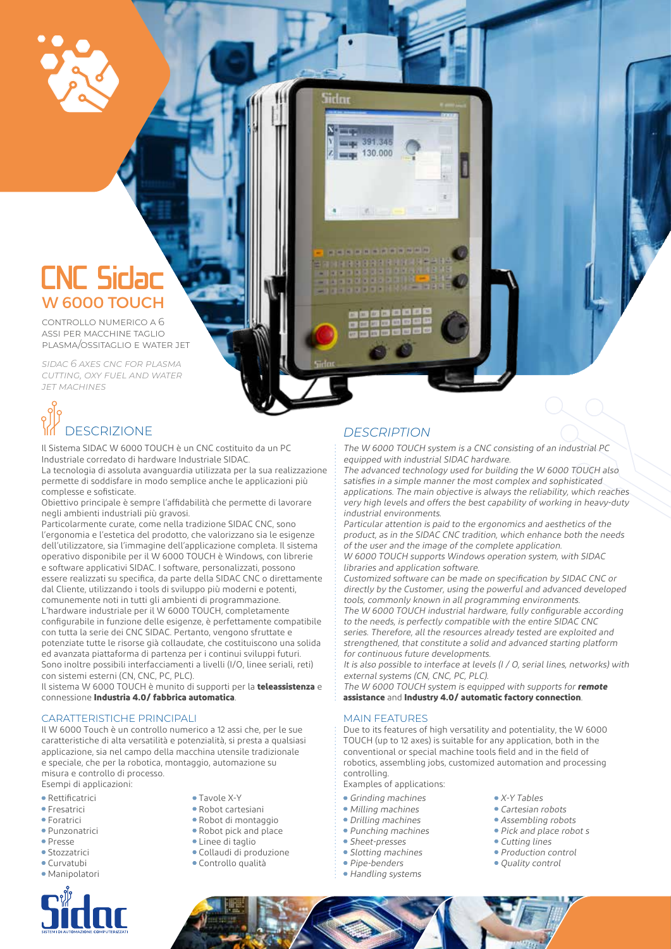

## CNC Sidac W 6000 TOUCH

controllo numerico a 6 assi per macchine taglio plasma/ossitaglio e water jet

*sidac 6 axes cnc for plasma cutting, oxy fuel and water jet machines*

# DESCRIZIONE *DESCRIPTION*

Il Sistema SIDAC W 6000 TOUCH è un CNC costituito da un PC Industriale corredato di hardware Industriale SIDAC.

La tecnologia di assoluta avanguardia utilizzata per la sua realizzazione permette di soddisfare in modo semplice anche le applicazioni più complesse e sofisticate.

Obiettivo principale è sempre l'affidabilità che permette di lavorare negli ambienti industriali più gravosi.

Particolarmente curate, come nella tradizione SIDAC CNC, sono l'ergonomia e l'estetica del prodotto, che valorizzano sia le esigenze dell'utilizzatore, sia l'immagine dell'applicazione completa. Il sistema operativo disponibile per il W 6000 TOUCH è Windows, con librerie e software applicativi SIDAC. I software, personalizzati, possono essere realizzati su specifica, da parte della SIDAC CNC o direttamente dal Cliente, utilizzando i tools di sviluppo più moderni e potenti, comunemente noti in tutti gli ambienti di programmazione. L'hardware industriale per il W 6000 TOUCH, completamente configurabile in funzione delle esigenze, è perfettamente compatibile con tutta la serie dei CNC SIDAC. Pertanto, vengono sfruttate e potenziate tutte le risorse già collaudate, che costituiscono una solida ed avanzata piattaforma di partenza per i continui sviluppi futuri. Sono inoltre possibili interfacciamenti a livelli (I/O, linee seriali, reti) con sistemi esterni (CN, CNC, PC, PLC).

Il sistema W 6000 TOUCH è munito di supporti per la **teleassistenza** e connessione **Industria 4.0/ fabbrica automatica**.

#### CARATTERISTICHE PRINCIPALI

Il W 6000 Touch è un controllo numerico a 12 assi che, per le sue caratteristiche di alta versatilità e potenzialità, si presta a qualsiasi applicazione, sia nel campo della macchina utensile tradizionale e speciale, che per la robotica, montaggio, automazione su misura e controllo di processo. Esempi di applicazioni:

- 
- Rettificatrici
- **Fresatrici**
- Foratrici
- Punzonatrici
- Presse
- Stozzatrici
- Curvatubi
- Manipolatori

- Tavole X-Y
- Robot cartesiani
- Robot di montaggio
- Robot pick and place
- Linee di taglio
- Collaudi di produzione
- Controllo qualità
- 

Sirln

130,000

The W 6000 TOUCH system is a CNC consisting of an industrial PC equipped with industrial SIDAC hardware.

The advanced technology used for building the W 6000 TOUCH also satisfies in a simple manner the most complex and sophisticated applications. The main objective is always the reliability, which reaches very high levels and offers the best capability of working in heavy-duty industrial environments.

Particular attention is paid to the ergonomics and aesthetics of the product, as in the SIDAC CNC tradition, which enhance both the needs of the user and the image of the complete application.

W 6000 TOUCH supports Windows operation system, with SIDAC libraries and application software.

Customized software can be made on specification by SIDAC CNC or directly by the Customer, using the powerful and advanced developed tools, commonly known in all programming environments. The W 6000 TOUCH industrial hardware, fully configurable according to the needs, is perfectly compatible with the entire SIDAC CNC series. Therefore, all the resources already tested are exploited and strengthened, that constitute a solid and advanced starting platform for continuous future developments.

It is also possible to interface at levels (I / O, serial lines, networks) with external systems (CN, CNC, PC, PLC).

The W 6000 TOUCH system is equipped with supports for **remote assistance** and **Industry 4.0/ automatic factory connection**.

#### MAIN FEATURES

Due to its features of high versatility and potentiality, the W 6000 TOUCH (up to 12 axes) is suitable for any application, both in the conventional or special machine tools field and in the field of robotics, assembling jobs, customized automation and processing controlling.

Examples of applications:

- Grinding machines
- Milling machines
- Drilling machines
- Punching machines
- Sheet-presses
- Slotting machines
- Pipe-benders
- Handling systems
- X-Y Tables
- Cartesian robots • Assembling robots
- Pick and place robot s
- 
- Cutting lines
- Production control
- Ouality control